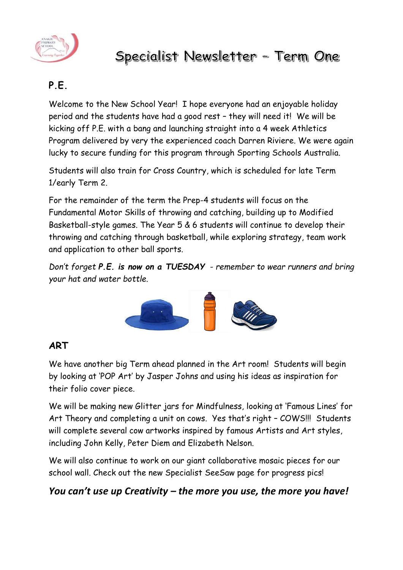

# Specialist Newsletter - Term One

# **P.E.**

Welcome to the New School Year! I hope everyone had an enjoyable holiday period and the students have had a good rest – they will need it! We will be kicking off P.E. with a bang and launching straight into a 4 week Athletics Program delivered by very the experienced coach Darren Riviere. We were again lucky to secure funding for this program through Sporting Schools Australia.

Students will also train for Cross Country, which is scheduled for late Term 1/early Term 2.

For the remainder of the term the Prep-4 students will focus on the Fundamental Motor Skills of throwing and catching, building up to Modified Basketball-style games. The Year 5 & 6 students will continue to develop their throwing and catching through basketball, while exploring strategy, team work and application to other ball sports.

*Don't forget P.E. is now on a TUESDAY - remember to wear runners and bring your hat and water bottle.*



#### **ART**

We have another big Term ahead planned in the Art room! Students will begin by looking at 'POP Art' by Jasper Johns and using his ideas as inspiration for their folio cover piece.

We will be making new Glitter jars for Mindfulness, looking at 'Famous Lines' for Art Theory and completing a unit on cows. Yes that's right – COWS!!! Students will complete several cow artworks inspired by famous Artists and Art styles, including John Kelly, Peter Diem and Elizabeth Nelson.

We will also continue to work on our giant collaborative mosaic pieces for our school wall. Check out the new Specialist SeeSaw page for progress pics!

## *You can't use up Creativity – the more you use, the more you have!*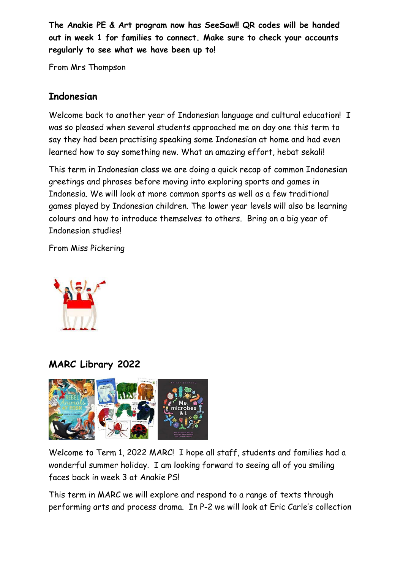**The Anakie PE & Art program now has SeeSaw!! QR codes will be handed out in week 1 for families to connect. Make sure to check your accounts regularly to see what we have been up to!**

From Mrs Thompson

## **Indonesian**

Welcome back to another year of Indonesian language and cultural education! I was so pleased when several students approached me on day one this term to say they had been practising speaking some Indonesian at home and had even learned how to say something new. What an amazing effort, hebat sekali!

This term in Indonesian class we are doing a quick recap of common Indonesian greetings and phrases before moving into exploring sports and games in Indonesia. We will look at more common sports as well as a few traditional games played by Indonesian children. The lower year levels will also be learning colours and how to introduce themselves to others. Bring on a big year of Indonesian studies!

From Miss Pickering



**MARC Library 2022**



Welcome to Term 1, 2022 MARC! I hope all staff, students and families had a wonderful summer holiday. I am looking forward to seeing all of you smiling faces back in week 3 at Anakie PS!

This term in MARC we will explore and respond to a range of texts through performing arts and process drama. In P-2 we will look at Eric Carle's collection